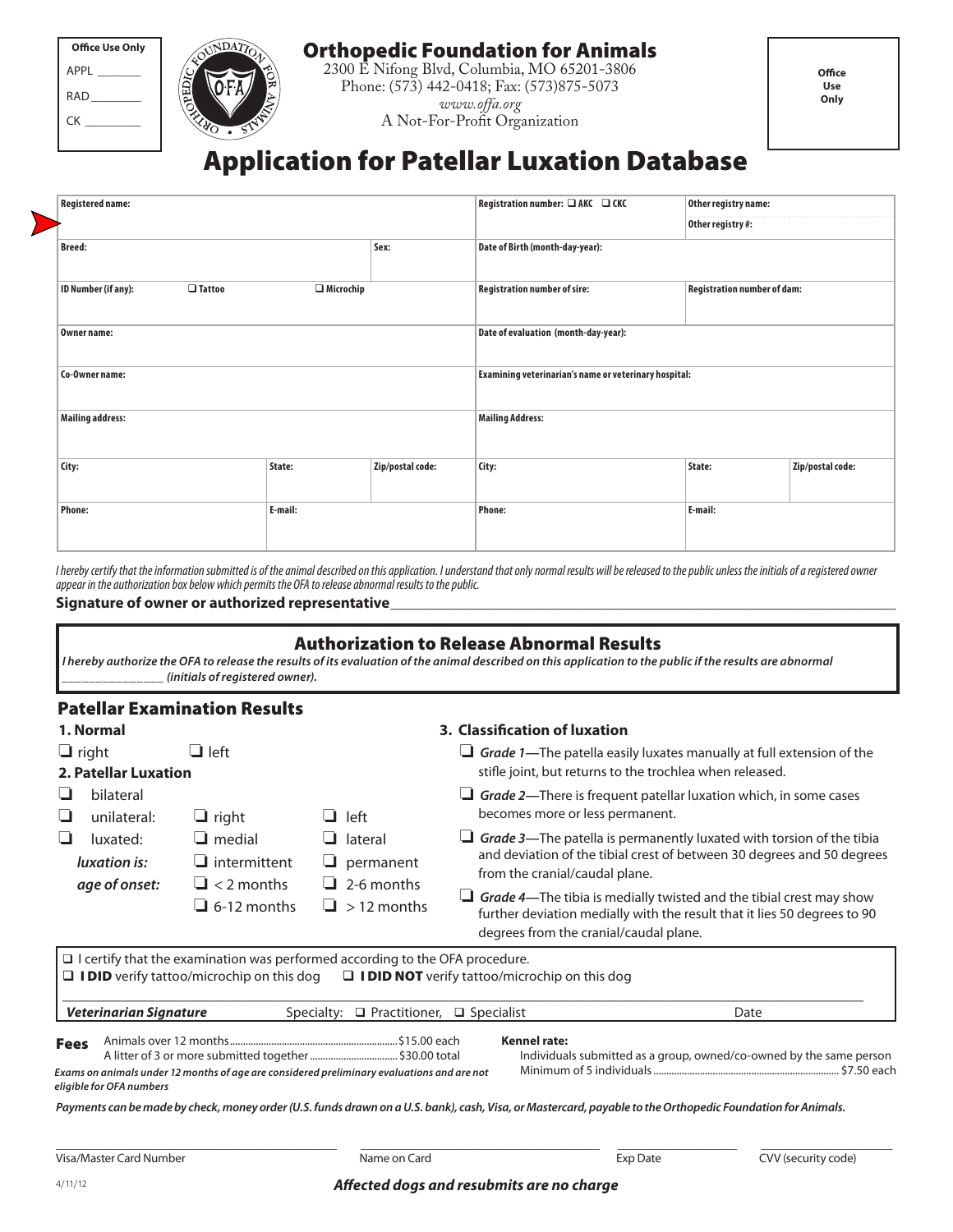Orthopedic Foundation for Animals

2300 E Nifong Blvd, Columbia, MO 65201-3806 Phone: (573) 442-0418; Fax: (573)875-5073 *www.offa.org* A Not-For-Profit Organization

## Application for Patellar Luxation Database

| Registration number: □ AKC □ CKC     |                  |                  |                                                       |                                    |                  |
|--------------------------------------|------------------|------------------|-------------------------------------------------------|------------------------------------|------------------|
| <b>Registered name:</b>              |                  |                  |                                                       | Other registry name:               |                  |
|                                      |                  |                  |                                                       | Other registry #:                  |                  |
| <b>Breed:</b>                        |                  | Sex:             | Date of Birth (month-day-year):                       |                                    |                  |
| ID Number (if any):<br>$\Box$ Tattoo | $\Box$ Microchip |                  | <b>Registration number of sire:</b>                   | <b>Registration number of dam:</b> |                  |
| <b>Owner name:</b>                   |                  |                  | Date of evaluation (month-day-year):                  |                                    |                  |
| Co-Owner name:                       |                  |                  | Examining veterinarian's name or veterinary hospital: |                                    |                  |
| <b>Mailing address:</b>              |                  |                  | <b>Mailing Address:</b>                               |                                    |                  |
| City:                                | State:           | Zip/postal code: | City:                                                 | State:                             | Zip/postal code: |
| <b>Phone:</b>                        | E-mail:          |                  | Phone:                                                | E-mail:                            |                  |

*I hereby certify that the information submitted is of the animal described on this application. I understand that only normal results will be released to the public unless the initials of a registered owner appear in the authorization box below which permits the OFA to release abnormal results to the public.*

#### Signature of owner or authorized representative

| <b>Authorization to Release Abnormal Results</b>                                                                                                          |  |  |  |  |  |
|-----------------------------------------------------------------------------------------------------------------------------------------------------------|--|--|--|--|--|
| I hereby authorize the OFA to release the results of its evaluation of the animal described on this application to the public if the results are abnormal |  |  |  |  |  |
| (initials of reaistered owner).                                                                                                                           |  |  |  |  |  |

#### Patellar Examination Results

APPL \_\_\_\_\_\_\_ RAD\_\_\_\_\_\_\_\_  $CK$ 

**Office Use Only**

| 1. Normal                                 |                                                           |                                                       | 3. Classification of luxation                                                                                                                                                                    |
|-------------------------------------------|-----------------------------------------------------------|-------------------------------------------------------|--------------------------------------------------------------------------------------------------------------------------------------------------------------------------------------------------|
| $\Box$ right<br>2. Patellar Luxation      | $\Box$ left                                               |                                                       | Grade 1—The patella easily luxates manually at full extension of the<br>stifle joint, but returns to the trochlea when released.                                                                 |
| bilateral<br>unilateral:<br>⊔             | $\sqcup$ right                                            | $\Box$ left                                           | $\Box$ Grade 2—There is frequent patellar luxation which, in some cases<br>becomes more or less permanent.                                                                                       |
| luxated:<br>luxation is:<br>age of onset: | $\Box$ medial<br>$\Box$ intermittent<br>$\Box$ < 2 months | $\Box$ lateral<br>permanent<br>⊔<br>$\Box$ 2-6 months | Grade 3—The patella is permanently luxated with torsion of the tibia<br>and deviation of the tibial crest of between 30 degrees and 50 degrees<br>from the cranial/caudal plane.                 |
|                                           | $\Box$ 6-12 months                                        | $\Box$ > 12 months                                    | $\Box$ Grade 4—The tibia is medially twisted and the tibial crest may show<br>further deviation medially with the result that it lies 50 degrees to 90<br>degrees from the cranial/caudal plane. |

Animals over 12 months.................................................................\$15.00 each A litter of 3 or more submitted together..................................\$30.00 total **Kennel rate:**  Individuals submitted as a group, owned/co-owned by the same person Minimum of 5 individuals........................................................................ \$7.50 each Fees  $\Box$  I certify that the examination was performed according to the OFA procedure.  $\square$  I DID verify tattoo/microchip on this dog  $\square$  I DID NOT verify tattoo/microchip on this dog \_\_\_\_\_\_\_\_\_\_\_\_\_\_\_\_\_\_\_\_\_\_\_\_\_\_\_\_\_\_\_\_\_\_\_\_\_\_\_\_\_\_\_\_\_\_\_\_\_\_\_\_\_\_\_\_\_\_\_\_\_\_\_\_\_\_\_\_\_\_\_\_\_\_\_\_\_\_\_\_\_\_\_\_\_\_\_\_\_\_\_\_\_\_\_\_\_\_\_\_\_\_\_ **Veterinarian Signature** Specialty: **Q Practitioner, Q Specialist** Date Date *Exams on animals under 12 months of age are considered preliminary evaluations and are not eligible for OFA numbers*

*Payments can be made by check, money order (U.S. funds drawn on a U.S. bank), cash, Visa, or Mastercard, payable to the Orthopedic Foundation for Animals.*